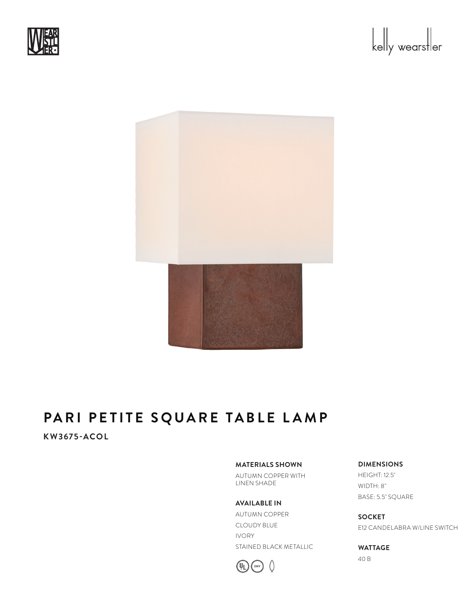





## **KW3675-ACOL**

#### **MATERIALS SHOWN**

AUTUMN COPPER WITH LINEN SHADE

**AVAILABLE IN** AUTUMN COPPER CLOUDY BLUE IVORY STAINED BLACK METALLIC



### **DIMENSIONS**

HEIGHT: 12.5" WIDTH: 8" BASE: 5.5" SQUARE

**SOCKET** E12 CANDELABRA W/LINE SWITCH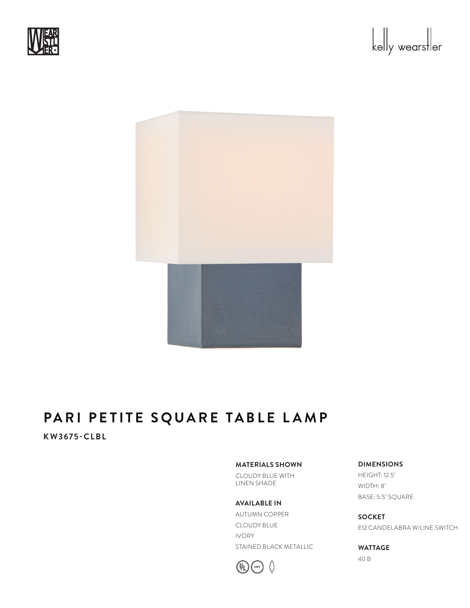





## **KW3675-CLBL**

#### **MATERIALS SHOWN**

CLOUDY BLUE WITH LINEN SHADE

**AVAILABLE IN** AUTUMN COPPER CLOUDY BLUE IVORY STAINED BLACK METALLIC



#### **DIMENSIONS**

HEIGHT: 12.5" WIDTH: 8" BASE: 5.5" SQUARE

**SOCKET** E12 CANDELABRA W/LINE SWITCH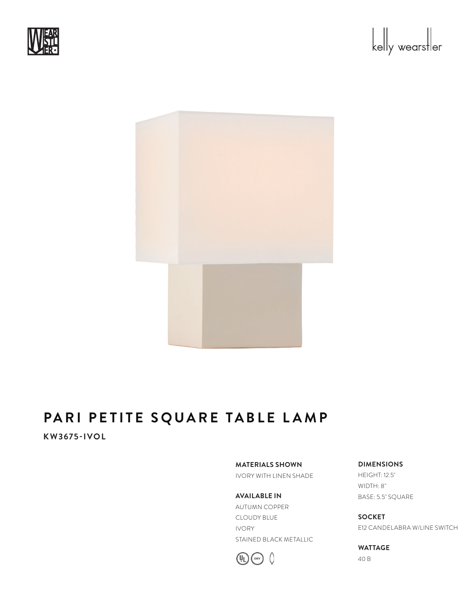





**KW3675-IVOL**

**MATERIALS SHOWN** IVORY WITH LINEN SHADE

**AVAILABLE IN** AUTUMN COPPER CLOUDY BLUE IVORY STAINED BLACK METALLIC



**DIMENSIONS** HEIGHT: 12.5" WIDTH: 8" BASE: 5.5" SQUARE

**SOCKET** E12 CANDELABRA W/LINE SWITCH